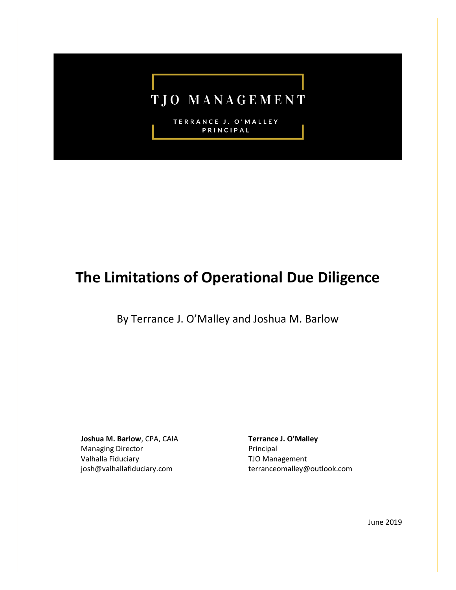# TJO MANAGEMENT

TERRANCE J. O'MALLEY PRINCIPAL

## **The Limitations of Operational Due Diligence**

By Terrance J. O'Malley and Joshua M. Barlow

**Joshua M. Barlow**, CPA, CAIA Managing Director Valhalla Fiduciary josh@valhallafiduciary.com

**Terrance J. O'Malley** Principal TJO Management terranceomalley@outlook.com

June 2019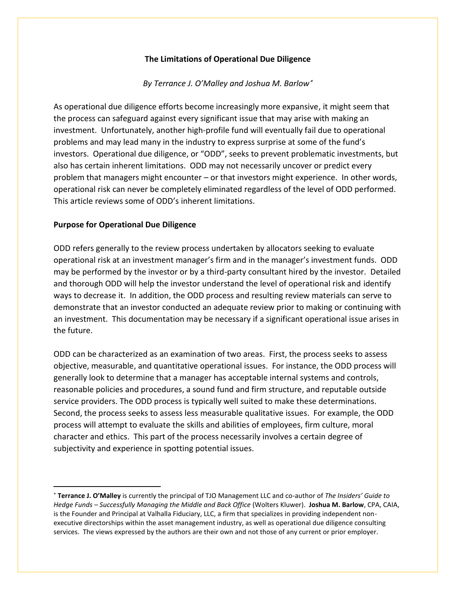### **The Limitations of Operational Due Diligence**

#### *By Terrance J. O'Malley and Joshua M. Barlow*

As operational due diligence efforts become increasingly more expansive, it might seem that the process can safeguard against every significant issue that may arise with making an investment. Unfortunately, another high-profile fund will eventually fail due to operational problems and may lead many in the industry to express surprise at some of the fund's investors. Operational due diligence, or "ODD", seeks to prevent problematic investments, but also has certain inherent limitations. ODD may not necessarily uncover or predict every problem that managers might encounter – or that investors might experience. In other words, operational risk can never be completely eliminated regardless of the level of ODD performed. This article reviews some of ODD's inherent limitations.

#### **Purpose for Operational Due Diligence**

ODD refers generally to the review process undertaken by allocators seeking to evaluate operational risk at an investment manager's firm and in the manager's investment funds. ODD may be performed by the investor or by a third-party consultant hired by the investor. Detailed and thorough ODD will help the investor understand the level of operational risk and identify ways to decrease it. In addition, the ODD process and resulting review materials can serve to demonstrate that an investor conducted an adequate review prior to making or continuing with an investment. This documentation may be necessary if a significant operational issue arises in the future.

ODD can be characterized as an examination of two areas. First, the process seeks to assess objective, measurable, and quantitative operational issues. For instance, the ODD process will generally look to determine that a manager has acceptable internal systems and controls, reasonable policies and procedures, a sound fund and firm structure, and reputable outside service providers. The ODD process is typically well suited to make these determinations. Second, the process seeks to assess less measurable qualitative issues. For example, the ODD process will attempt to evaluate the skills and abilities of employees, firm culture, moral character and ethics. This part of the process necessarily involves a certain degree of subjectivity and experience in spotting potential issues.

**Terrance J. O'Malley** is currently the principal of TJO Management LLC and co-author of *The Insiders' Guide to Hedge Funds – Successfully Managing the Middle and Back Office* (Wolters Kluwer). **Joshua M. Barlow**, CPA, CAIA, is the Founder and Principal at Valhalla Fiduciary, LLC, a firm that specializes in providing independent nonexecutive directorships within the asset management industry, as well as operational due diligence consulting services. The views expressed by the authors are their own and not those of any current or prior employer.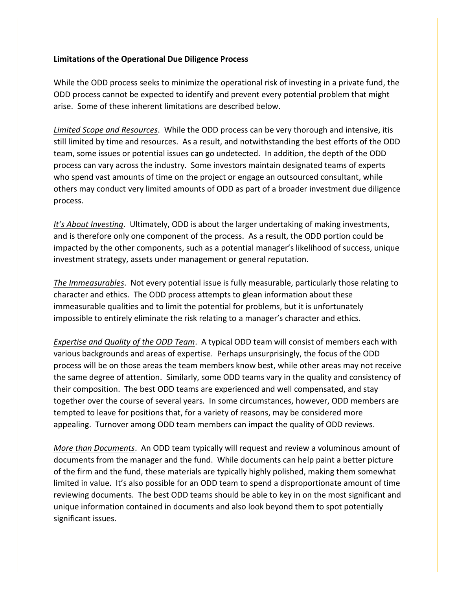#### **Limitations of the Operational Due Diligence Process**

While the ODD process seeks to minimize the operational risk of investing in a private fund, the ODD process cannot be expected to identify and prevent every potential problem that might arise. Some of these inherent limitations are described below.

*Limited Scope and Resources*. While the ODD process can be very thorough and intensive, itis still limited by time and resources. As a result, and notwithstanding the best efforts of the ODD team, some issues or potential issues can go undetected. In addition, the depth of the ODD process can vary across the industry. Some investors maintain designated teams of experts who spend vast amounts of time on the project or engage an outsourced consultant, while others may conduct very limited amounts of ODD as part of a broader investment due diligence process.

*It's About Investing*. Ultimately, ODD is about the larger undertaking of making investments, and is therefore only one component of the process. As a result, the ODD portion could be impacted by the other components, such as a potential manager's likelihood of success, unique investment strategy, assets under management or general reputation.

*The Immeasurables*. Not every potential issue is fully measurable, particularly those relating to character and ethics. The ODD process attempts to glean information about these immeasurable qualities and to limit the potential for problems, but it is unfortunately impossible to entirely eliminate the risk relating to a manager's character and ethics.

*Expertise and Quality of the ODD Team*. A typical ODD team will consist of members each with various backgrounds and areas of expertise. Perhaps unsurprisingly, the focus of the ODD process will be on those areas the team members know best, while other areas may not receive the same degree of attention. Similarly, some ODD teams vary in the quality and consistency of their composition. The best ODD teams are experienced and well compensated, and stay together over the course of several years. In some circumstances, however, ODD members are tempted to leave for positions that, for a variety of reasons, may be considered more appealing. Turnover among ODD team members can impact the quality of ODD reviews.

*More than Documents*. An ODD team typically will request and review a voluminous amount of documents from the manager and the fund. While documents can help paint a better picture of the firm and the fund, these materials are typically highly polished, making them somewhat limited in value. It's also possible for an ODD team to spend a disproportionate amount of time reviewing documents. The best ODD teams should be able to key in on the most significant and unique information contained in documents and also look beyond them to spot potentially significant issues.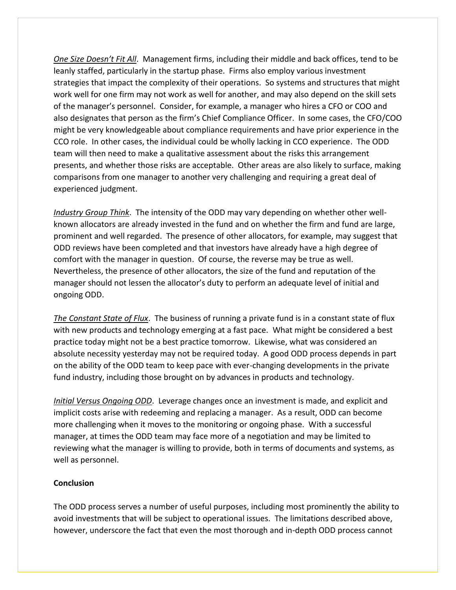*One Size Doesn't Fit All*. Management firms, including their middle and back offices, tend to be leanly staffed, particularly in the startup phase. Firms also employ various investment strategies that impact the complexity of their operations. So systems and structures that might work well for one firm may not work as well for another, and may also depend on the skill sets of the manager's personnel. Consider, for example, a manager who hires a CFO or COO and also designates that person as the firm's Chief Compliance Officer. In some cases, the CFO/COO might be very knowledgeable about compliance requirements and have prior experience in the CCO role. In other cases, the individual could be wholly lacking in CCO experience. The ODD team will then need to make a qualitative assessment about the risks this arrangement presents, and whether those risks are acceptable. Other areas are also likely to surface, making comparisons from one manager to another very challenging and requiring a great deal of experienced judgment.

*Industry Group Think*. The intensity of the ODD may vary depending on whether other wellknown allocators are already invested in the fund and on whether the firm and fund are large, prominent and well regarded. The presence of other allocators, for example, may suggest that ODD reviews have been completed and that investors have already have a high degree of comfort with the manager in question. Of course, the reverse may be true as well. Nevertheless, the presence of other allocators, the size of the fund and reputation of the manager should not lessen the allocator's duty to perform an adequate level of initial and ongoing ODD.

*The Constant State of Flux*. The business of running a private fund is in a constant state of flux with new products and technology emerging at a fast pace. What might be considered a best practice today might not be a best practice tomorrow. Likewise, what was considered an absolute necessity yesterday may not be required today. A good ODD process depends in part on the ability of the ODD team to keep pace with ever-changing developments in the private fund industry, including those brought on by advances in products and technology.

*Initial Versus Ongoing ODD*. Leverage changes once an investment is made, and explicit and implicit costs arise with redeeming and replacing a manager. As a result, ODD can become more challenging when it moves to the monitoring or ongoing phase. With a successful manager, at times the ODD team may face more of a negotiation and may be limited to reviewing what the manager is willing to provide, both in terms of documents and systems, as well as personnel.

#### **Conclusion**

The ODD process serves a number of useful purposes, including most prominently the ability to avoid investments that will be subject to operational issues. The limitations described above, however, underscore the fact that even the most thorough and in-depth ODD process cannot